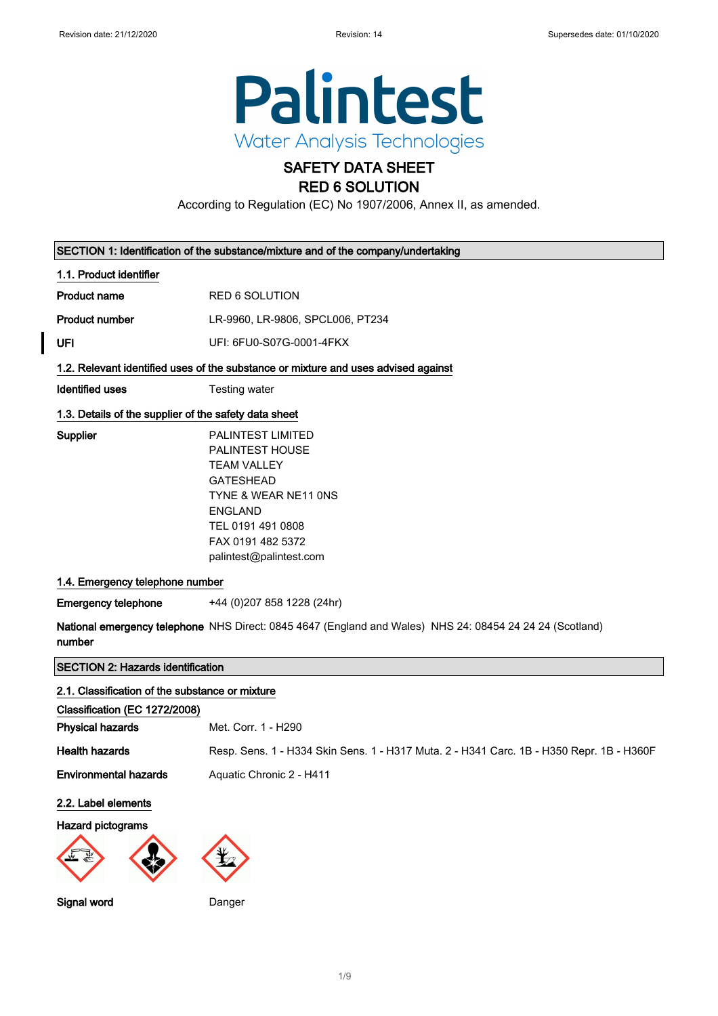

## SAFETY DATA SHEET RED 6 SOLUTION

According to Regulation (EC) No 1907/2006, Annex II, as amended.

|                                                       | SECTION 1: Identification of the substance/mixture and of the company/undertaking                                                                                                             |
|-------------------------------------------------------|-----------------------------------------------------------------------------------------------------------------------------------------------------------------------------------------------|
| 1.1. Product identifier                               |                                                                                                                                                                                               |
| <b>Product name</b>                                   | <b>RED 6 SOLUTION</b>                                                                                                                                                                         |
| <b>Product number</b>                                 | LR-9960, LR-9806, SPCL006, PT234                                                                                                                                                              |
| UFI                                                   | UFI: 6FU0-S07G-0001-4FKX                                                                                                                                                                      |
|                                                       | 1.2. Relevant identified uses of the substance or mixture and uses advised against                                                                                                            |
| Identified uses                                       | Testing water                                                                                                                                                                                 |
| 1.3. Details of the supplier of the safety data sheet |                                                                                                                                                                                               |
| Supplier                                              | PALINTEST LIMITED<br>PALINTEST HOUSE<br><b>TEAM VALLEY</b><br><b>GATESHEAD</b><br>TYNE & WEAR NE11 ONS<br><b>ENGLAND</b><br>TEL 0191 491 0808<br>FAX 0191 482 5372<br>palintest@palintest.com |
| 1.4. Emergency telephone number                       |                                                                                                                                                                                               |
| <b>Emergency telephone</b>                            | +44 (0)207 858 1228 (24hr)                                                                                                                                                                    |
| number                                                | National emergency telephone NHS Direct: 0845 4647 (England and Wales) NHS 24: 08454 24 24 24 (Scotland)                                                                                      |
| <b>SECTION 2: Hazards identification</b>              |                                                                                                                                                                                               |
| 2.1. Classification of the substance or mixture       |                                                                                                                                                                                               |
| Classification (EC 1272/2008)                         |                                                                                                                                                                                               |
| <b>Physical hazards</b>                               | Met. Corr. 1 - H290                                                                                                                                                                           |
| <b>Health hazards</b>                                 | Resp. Sens. 1 - H334 Skin Sens. 1 - H317 Muta. 2 - H341 Carc. 1B - H350 Repr. 1B - H360F                                                                                                      |
| <b>Environmental hazards</b>                          | Aquatic Chronic 2 - H411                                                                                                                                                                      |
| 2.2. Label elements                                   |                                                                                                                                                                                               |
| <b>Hazard pictograms</b>                              |                                                                                                                                                                                               |

Signal word Danger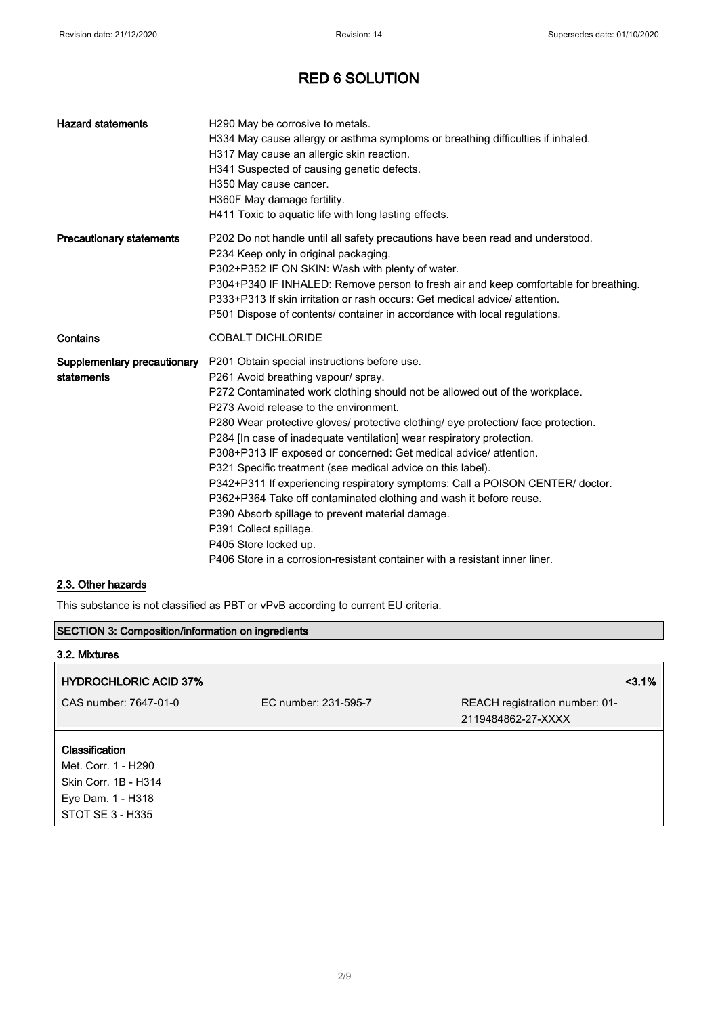| <b>Hazard statements</b>                  | H290 May be corrosive to metals.<br>H334 May cause allergy or asthma symptoms or breathing difficulties if inhaled.<br>H317 May cause an allergic skin reaction.<br>H341 Suspected of causing genetic defects.<br>H350 May cause cancer.<br>H360F May damage fertility.<br>H411 Toxic to aquatic life with long lasting effects.                                                                                                                                                                                                                                                                                                                                                                                                                                                                                                                             |
|-------------------------------------------|--------------------------------------------------------------------------------------------------------------------------------------------------------------------------------------------------------------------------------------------------------------------------------------------------------------------------------------------------------------------------------------------------------------------------------------------------------------------------------------------------------------------------------------------------------------------------------------------------------------------------------------------------------------------------------------------------------------------------------------------------------------------------------------------------------------------------------------------------------------|
| <b>Precautionary statements</b>           | P202 Do not handle until all safety precautions have been read and understood.<br>P234 Keep only in original packaging.<br>P302+P352 IF ON SKIN: Wash with plenty of water.<br>P304+P340 IF INHALED: Remove person to fresh air and keep comfortable for breathing.<br>P333+P313 If skin irritation or rash occurs: Get medical advice/ attention.<br>P501 Dispose of contents/ container in accordance with local regulations.                                                                                                                                                                                                                                                                                                                                                                                                                              |
| Contains                                  | <b>COBALT DICHLORIDE</b>                                                                                                                                                                                                                                                                                                                                                                                                                                                                                                                                                                                                                                                                                                                                                                                                                                     |
| Supplementary precautionary<br>statements | P201 Obtain special instructions before use.<br>P261 Avoid breathing vapour/ spray.<br>P272 Contaminated work clothing should not be allowed out of the workplace.<br>P273 Avoid release to the environment.<br>P280 Wear protective gloves/ protective clothing/ eye protection/ face protection.<br>P284 [In case of inadequate ventilation] wear respiratory protection.<br>P308+P313 IF exposed or concerned: Get medical advice/ attention.<br>P321 Specific treatment (see medical advice on this label).<br>P342+P311 If experiencing respiratory symptoms: Call a POISON CENTER/ doctor.<br>P362+P364 Take off contaminated clothing and wash it before reuse.<br>P390 Absorb spillage to prevent material damage.<br>P391 Collect spillage.<br>P405 Store locked up.<br>P406 Store in a corrosion-resistant container with a resistant inner liner. |

## 2.3. Other hazards

This substance is not classified as PBT or vPvB according to current EU criteria.

| <b>SECTION 3: Composition/information on ingredients</b> |                      |                                                      |
|----------------------------------------------------------|----------------------|------------------------------------------------------|
| 3.2. Mixtures                                            |                      |                                                      |
| <b>HYDROCHLORIC ACID 37%</b>                             |                      | $3.1\%$                                              |
| CAS number: 7647-01-0                                    | EC number: 231-595-7 | REACH registration number: 01-<br>2119484862-27-XXXX |
| Classification<br>Met. Corr. 1 - H290                    |                      |                                                      |
| Skin Corr. 1B - H314                                     |                      |                                                      |
| Eye Dam. 1 - H318                                        |                      |                                                      |
| STOT SE 3 - H335                                         |                      |                                                      |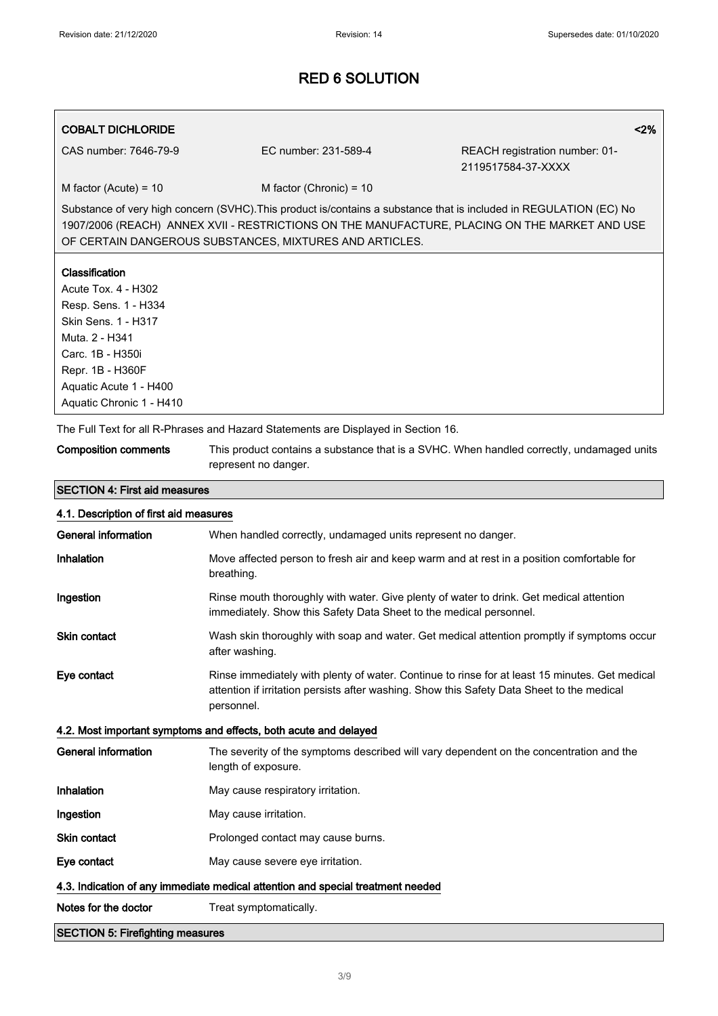## COBALT DICHLORIDE <2%

CAS number: 7646-79-9 EC number: 231-589-4 REACH registration number: 01- 2119517584-37-XXXX

 $M$  factor (Acute) = 10 M factor (Chronic) = 10

Substance of very high concern (SVHC).This product is/contains a substance that is included in REGULATION (EC) No 1907/2006 (REACH) ANNEX XVII - RESTRICTIONS ON THE MANUFACTURE, PLACING ON THE MARKET AND USE OF CERTAIN DANGEROUS SUBSTANCES, MIXTURES AND ARTICLES.

## Classification

Acute Tox. 4 - H302 Resp. Sens. 1 - H334 Skin Sens. 1 - H317 Muta. 2 - H341 Carc. 1B - H350i Repr. 1B - H360F Aquatic Acute 1 - H400 Aquatic Chronic 1 - H410

The Full Text for all R-Phrases and Hazard Statements are Displayed in Section 16.

| <b>Composition comments</b> | This product contains a substance that is a SVHC. When handled correctly, undamaged units |
|-----------------------------|-------------------------------------------------------------------------------------------|
|                             | represent no danger.                                                                      |

# SECTION 4: First aid measures

| 4.1. Description of first aid measures                                          |                                                                                                                                                                                                            |  |
|---------------------------------------------------------------------------------|------------------------------------------------------------------------------------------------------------------------------------------------------------------------------------------------------------|--|
| <b>General information</b>                                                      | When handled correctly, undamaged units represent no danger.                                                                                                                                               |  |
| Inhalation                                                                      | Move affected person to fresh air and keep warm and at rest in a position comfortable for<br>breathing.                                                                                                    |  |
| Ingestion                                                                       | Rinse mouth thoroughly with water. Give plenty of water to drink. Get medical attention<br>immediately. Show this Safety Data Sheet to the medical personnel.                                              |  |
| <b>Skin contact</b>                                                             | Wash skin thoroughly with soap and water. Get medical attention promptly if symptoms occur<br>after washing.                                                                                               |  |
| Eye contact                                                                     | Rinse immediately with plenty of water. Continue to rinse for at least 15 minutes. Get medical<br>attention if irritation persists after washing. Show this Safety Data Sheet to the medical<br>personnel. |  |
|                                                                                 | 4.2. Most important symptoms and effects, both acute and delayed                                                                                                                                           |  |
| <b>General information</b>                                                      | The severity of the symptoms described will vary dependent on the concentration and the<br>length of exposure.                                                                                             |  |
| Inhalation                                                                      | May cause respiratory irritation.                                                                                                                                                                          |  |
| Ingestion                                                                       | May cause irritation.                                                                                                                                                                                      |  |
| <b>Skin contact</b>                                                             | Prolonged contact may cause burns.                                                                                                                                                                         |  |
| Eye contact                                                                     | May cause severe eye irritation.                                                                                                                                                                           |  |
| 4.3. Indication of any immediate medical attention and special treatment needed |                                                                                                                                                                                                            |  |
| Notes for the doctor                                                            | Treat symptomatically.                                                                                                                                                                                     |  |
| <b>SECTION 5: Firefighting measures</b>                                         |                                                                                                                                                                                                            |  |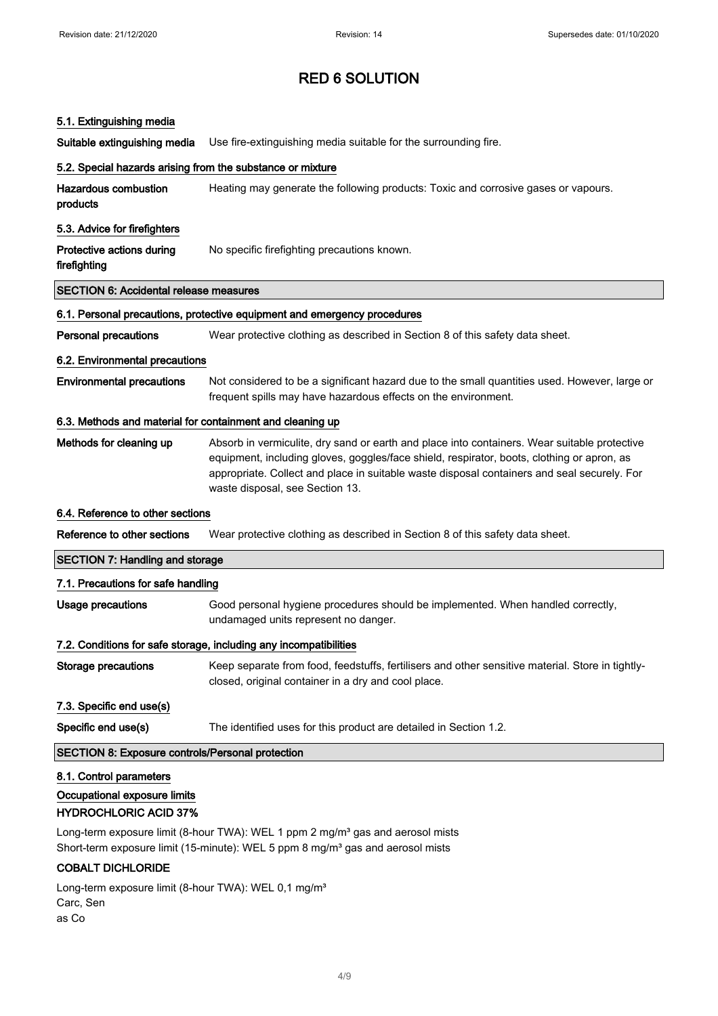#### 5.1. Extinguishing media

Suitable extinguishing media Use fire-extinguishing media suitable for the surrounding fire.

# 5.2. Special hazards arising from the substance or mixture Hazardous combustion products Heating may generate the following products: Toxic and corrosive gases or vapours. 5.3. Advice for firefighters Protective actions during firefighting No specific firefighting precautions known. SECTION 6: Accidental release measures 6.1. Personal precautions, protective equipment and emergency procedures Personal precautions Wear protective clothing as described in Section 8 of this safety data sheet. 6.2. Environmental precautions Environmental precautions Not considered to be a significant hazard due to the small quantities used. However, large or frequent spills may have hazardous effects on the environment. 6.3. Methods and material for containment and cleaning up Methods for cleaning up Absorb in vermiculite, dry sand or earth and place into containers. Wear suitable protective equipment, including gloves, goggles/face shield, respirator, boots, clothing or apron, as appropriate. Collect and place in suitable waste disposal containers and seal securely. For waste disposal, see Section 13. 6.4. Reference to other sections Reference to other sections Wear protective clothing as described in Section 8 of this safety data sheet. SECTION 7: Handling and storage 7.1. Precautions for safe handling Usage precautions Good personal hygiene procedures should be implemented. When handled correctly, undamaged units represent no danger.

#### 7.2. Conditions for safe storage, including any incompatibilities

Storage precautions Keep separate from food, feedstuffs, fertilisers and other sensitive material. Store in tightlyclosed, original container in a dry and cool place.

7.3. Specific end use(s)

Specific end use(s) The identified uses for this product are detailed in Section 1.2.

#### SECTION 8: Exposure controls/Personal protection

#### 8.1. Control parameters

## Occupational exposure limits

## HYDROCHLORIC ACID 37%

Long-term exposure limit (8-hour TWA): WEL 1 ppm 2 mg/m<sup>3</sup> gas and aerosol mists Short-term exposure limit (15-minute): WEL 5 ppm 8 mg/m<sup>3</sup> gas and aerosol mists

## COBALT DICHLORIDE

Long-term exposure limit (8-hour TWA): WEL 0,1 mg/m<sup>3</sup> Carc, Sen as Co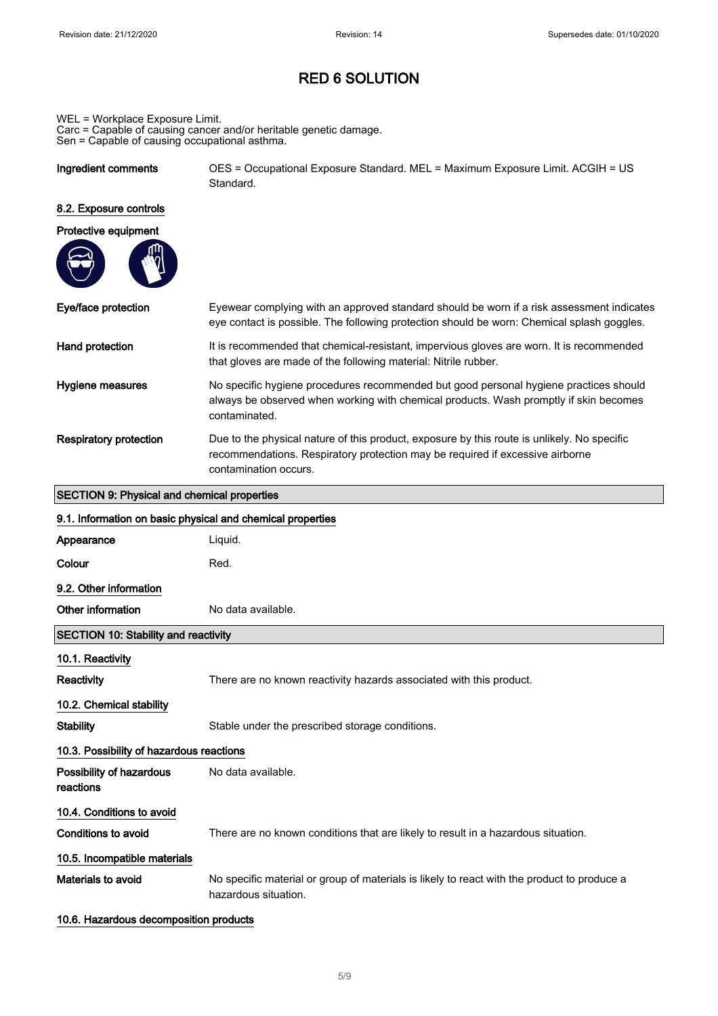WEL = Workplace Exposure Limit. Carc = Capable of causing cancer and/or heritable genetic damage. Sen = Capable of causing occupational asthma.

Ingredient comments OES = Occupational Exposure Standard. MEL = Maximum Exposure Limit. ACGIH = US Standard.

## 8.2. Exposure controls

| Protective equipment |  |  |
|----------------------|--|--|
|                      |  |  |

| Eye/face protection    | Eyewear complying with an approved standard should be worn if a risk assessment indicates<br>eye contact is possible. The following protection should be worn: Chemical splash goggles.               |
|------------------------|-------------------------------------------------------------------------------------------------------------------------------------------------------------------------------------------------------|
| Hand protection        | It is recommended that chemical-resistant, impervious gloves are worn. It is recommended<br>that gloves are made of the following material: Nitrile rubber.                                           |
| Hygiene measures       | No specific hygiene procedures recommended but good personal hygiene practices should<br>always be observed when working with chemical products. Wash promptly if skin becomes<br>contaminated.       |
| Respiratory protection | Due to the physical nature of this product, exposure by this route is unlikely. No specific<br>recommendations. Respiratory protection may be required if excessive airborne<br>contamination occurs. |

## SECTION 9: Physical and chemical properties

| 9.1. Information on basic physical and chemical properties |                                                                                                                     |
|------------------------------------------------------------|---------------------------------------------------------------------------------------------------------------------|
| Appearance                                                 | Liquid.                                                                                                             |
| Colour                                                     | Red.                                                                                                                |
| 9.2. Other information                                     |                                                                                                                     |
| Other information                                          | No data available.                                                                                                  |
| <b>SECTION 10: Stability and reactivity</b>                |                                                                                                                     |
| 10.1. Reactivity                                           |                                                                                                                     |
| <b>Reactivity</b>                                          | There are no known reactivity hazards associated with this product.                                                 |
| 10.2. Chemical stability                                   |                                                                                                                     |
| <b>Stability</b>                                           | Stable under the prescribed storage conditions.                                                                     |
| 10.3. Possibility of hazardous reactions                   |                                                                                                                     |
| Possibility of hazardous<br>reactions                      | No data available.                                                                                                  |
| 10.4. Conditions to avoid                                  |                                                                                                                     |
| Conditions to avoid                                        | There are no known conditions that are likely to result in a hazardous situation.                                   |
| 10.5. Incompatible materials                               |                                                                                                                     |
| Materials to avoid                                         | No specific material or group of materials is likely to react with the product to produce a<br>hazardous situation. |

## 10.6. Hazardous decomposition products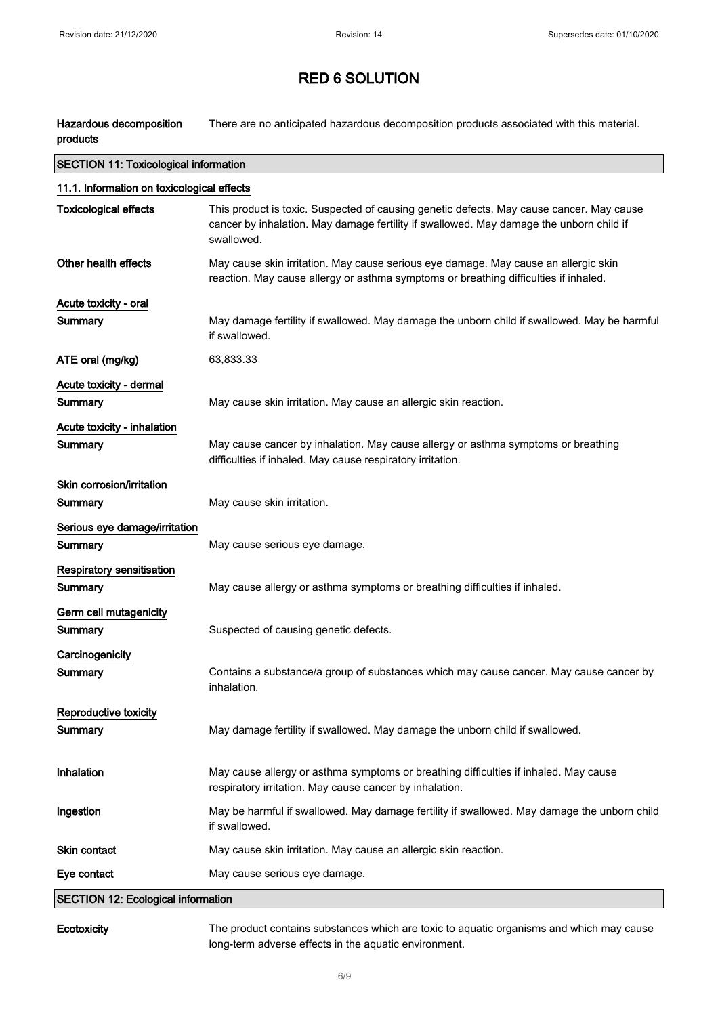Hazardous decomposition products There are no anticipated hazardous decomposition products associated with this material.

| <b>SECTION 11: Toxicological information</b> |                                                                                                                                                                                                   |  |
|----------------------------------------------|---------------------------------------------------------------------------------------------------------------------------------------------------------------------------------------------------|--|
| 11.1. Information on toxicological effects   |                                                                                                                                                                                                   |  |
| <b>Toxicological effects</b>                 | This product is toxic. Suspected of causing genetic defects. May cause cancer. May cause<br>cancer by inhalation. May damage fertility if swallowed. May damage the unborn child if<br>swallowed. |  |
| Other health effects                         | May cause skin irritation. May cause serious eye damage. May cause an allergic skin<br>reaction. May cause allergy or asthma symptoms or breathing difficulties if inhaled.                       |  |
| Acute toxicity - oral                        |                                                                                                                                                                                                   |  |
| Summary                                      | May damage fertility if swallowed. May damage the unborn child if swallowed. May be harmful<br>if swallowed.                                                                                      |  |
| ATE oral (mg/kg)                             | 63,833.33                                                                                                                                                                                         |  |
| Acute toxicity - dermal                      |                                                                                                                                                                                                   |  |
| Summary                                      | May cause skin irritation. May cause an allergic skin reaction.                                                                                                                                   |  |
| Acute toxicity - inhalation                  |                                                                                                                                                                                                   |  |
| <b>Summary</b>                               | May cause cancer by inhalation. May cause allergy or asthma symptoms or breathing<br>difficulties if inhaled. May cause respiratory irritation.                                                   |  |
| Skin corrosion/irritation                    |                                                                                                                                                                                                   |  |
| Summary                                      | May cause skin irritation.                                                                                                                                                                        |  |
| Serious eye damage/irritation                |                                                                                                                                                                                                   |  |
| Summary                                      | May cause serious eye damage.                                                                                                                                                                     |  |
| Respiratory sensitisation                    |                                                                                                                                                                                                   |  |
| Summary                                      | May cause allergy or asthma symptoms or breathing difficulties if inhaled.                                                                                                                        |  |
| Germ cell mutagenicity                       |                                                                                                                                                                                                   |  |
| Summary                                      | Suspected of causing genetic defects.                                                                                                                                                             |  |
| Carcinogenicity                              |                                                                                                                                                                                                   |  |
| Summary                                      | Contains a substance/a group of substances which may cause cancer. May cause cancer by<br>inhalation.                                                                                             |  |
| Reproductive toxicity                        |                                                                                                                                                                                                   |  |
| Summary                                      | May damage fertility if swallowed. May damage the unborn child if swallowed.                                                                                                                      |  |
| Inhalation                                   | May cause allergy or asthma symptoms or breathing difficulties if inhaled. May cause<br>respiratory irritation. May cause cancer by inhalation.                                                   |  |
| Ingestion                                    | May be harmful if swallowed. May damage fertility if swallowed. May damage the unborn child<br>if swallowed.                                                                                      |  |
| <b>Skin contact</b>                          | May cause skin irritation. May cause an allergic skin reaction.                                                                                                                                   |  |
| Eye contact                                  | May cause serious eye damage.                                                                                                                                                                     |  |
| <b>SECTION 12: Ecological information</b>    |                                                                                                                                                                                                   |  |

Ecotoxicity The product contains substances which are toxic to aquatic organisms and which may cause long-term adverse effects in the aquatic environment.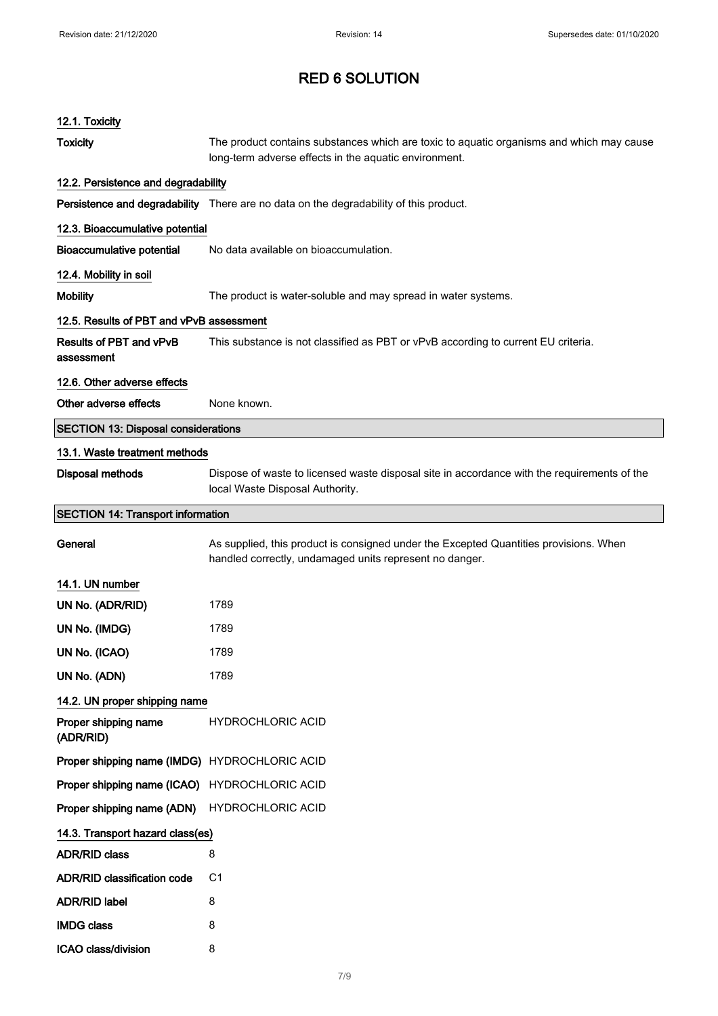| 12.1. Toxicity                                |                                                                                                                                                   |
|-----------------------------------------------|---------------------------------------------------------------------------------------------------------------------------------------------------|
| <b>Toxicity</b>                               | The product contains substances which are toxic to aquatic organisms and which may cause<br>long-term adverse effects in the aquatic environment. |
| 12.2. Persistence and degradability           |                                                                                                                                                   |
|                                               | Persistence and degradability There are no data on the degradability of this product.                                                             |
| 12.3. Bioaccumulative potential               |                                                                                                                                                   |
| <b>Bioaccumulative potential</b>              | No data available on bioaccumulation.                                                                                                             |
| 12.4. Mobility in soil                        |                                                                                                                                                   |
| <b>Mobility</b>                               | The product is water-soluble and may spread in water systems.                                                                                     |
| 12.5. Results of PBT and vPvB assessment      |                                                                                                                                                   |
| Results of PBT and vPvB<br>assessment         | This substance is not classified as PBT or vPvB according to current EU criteria.                                                                 |
| 12.6. Other adverse effects                   |                                                                                                                                                   |
| Other adverse effects                         | None known.                                                                                                                                       |
| <b>SECTION 13: Disposal considerations</b>    |                                                                                                                                                   |
| 13.1. Waste treatment methods                 |                                                                                                                                                   |
| <b>Disposal methods</b>                       | Dispose of waste to licensed waste disposal site in accordance with the requirements of the<br>local Waste Disposal Authority.                    |
| <b>SECTION 14: Transport information</b>      |                                                                                                                                                   |
| General                                       | As supplied, this product is consigned under the Excepted Quantities provisions. When<br>handled correctly, undamaged units represent no danger.  |
| 14.1. UN number                               |                                                                                                                                                   |
| UN No. (ADR/RID)                              | 1789                                                                                                                                              |
| UN No. (IMDG)                                 | 1789                                                                                                                                              |
| UN No. (ICAO)                                 | 1789                                                                                                                                              |
| UN No. (ADN)                                  | 1789                                                                                                                                              |
| 14.2. UN proper shipping name                 |                                                                                                                                                   |
| Proper shipping name<br>(ADR/RID)             | <b>HYDROCHLORIC ACID</b>                                                                                                                          |
| Proper shipping name (IMDG) HYDROCHLORIC ACID |                                                                                                                                                   |
| Proper shipping name (ICAO) HYDROCHLORIC ACID |                                                                                                                                                   |
| Proper shipping name (ADN)                    | <b>HYDROCHLORIC ACID</b>                                                                                                                          |
| 14.3. Transport hazard class(es)              |                                                                                                                                                   |
| <b>ADR/RID class</b>                          | 8                                                                                                                                                 |
| <b>ADR/RID classification code</b>            | C1                                                                                                                                                |
| ADR/RID label                                 | 8                                                                                                                                                 |
| <b>IMDG class</b>                             | 8                                                                                                                                                 |
| ICAO class/division                           | 8                                                                                                                                                 |
|                                               |                                                                                                                                                   |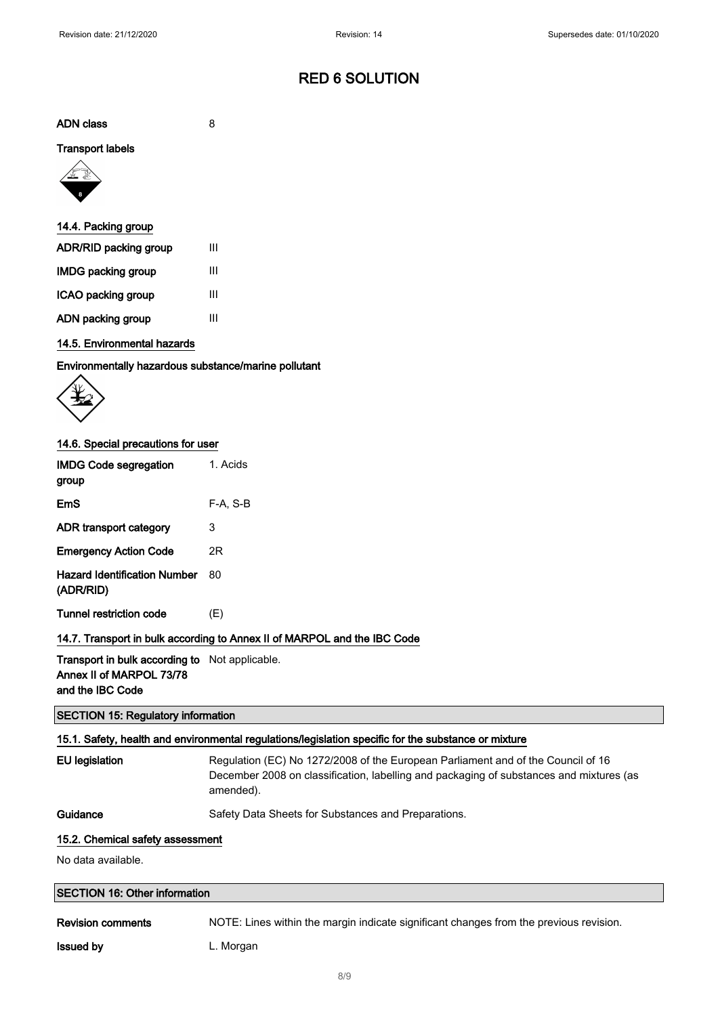ADN class 8

#### Transport labels



| 14.4. Packing group   |   |
|-----------------------|---|
| ADR/RID packing group | Ш |
| IMDG packing group    | Ш |
| ICAO packing group    | Ш |
| ADN packing group     | Ш |

## 14.5. Environmental hazards

Environmentally hazardous substance/marine pollutant



## 14.6. Special precautions for user

| <b>IMDG Code segregation</b><br>group     | 1. Acids |
|-------------------------------------------|----------|
| EmS                                       | F-A. S-B |
| ADR transport category                    | 3        |
| <b>Emergency Action Code</b>              | 2R       |
| Hazard Identification Number<br>(ADR/RID) | 80       |
| <b>Tunnel restriction code</b>            | (E)      |

## 14.7. Transport in bulk according to Annex II of MARPOL and the IBC Code

Transport in bulk according to Not applicable. Annex II of MARPOL 73/78 and the IBC Code

#### SECTION 15: Regulatory information

## 15.1. Safety, health and environmental regulations/legislation specific for the substance or mixture

| EU legislatic |
|---------------|
|               |

on Regulation (EC) No 1272/2008 of the European Parliament and of the Council of 16 December 2008 on classification, labelling and packaging of substances and mixtures (as amended).

Guidance Safety Data Sheets for Substances and Preparations.

#### 15.2. Chemical safety assessment

No data available.

| <b>SECTION 16: Other information</b> |                                                                                        |  |
|--------------------------------------|----------------------------------------------------------------------------------------|--|
| <b>Revision comments</b>             | NOTE: Lines within the margin indicate significant changes from the previous revision. |  |